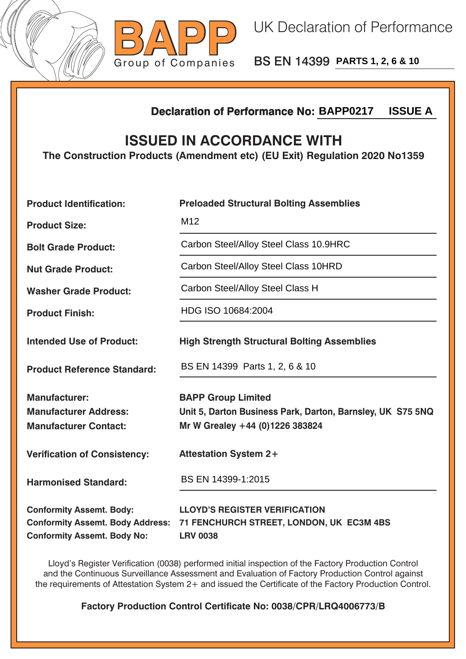



BS EN 14399 **PARTS 1, 2, 6 & 10**

## **Declaration of Performance No:**

## **ISSUED IN ACCORDANCE WITH**

|                                                                                                                  | <b>ISSUE A</b><br><b>Declaration of Performance No: BAPP0217</b>                                                           |  |  |  |
|------------------------------------------------------------------------------------------------------------------|----------------------------------------------------------------------------------------------------------------------------|--|--|--|
| <b>ISSUED IN ACCORDANCE WITH</b><br>The Construction Products (Amendment etc) (EU Exit) Regulation 2020 No1359   |                                                                                                                            |  |  |  |
| <b>Product Identification:</b>                                                                                   | <b>Preloaded Structural Bolting Assemblies</b>                                                                             |  |  |  |
| <b>Product Size:</b>                                                                                             | M <sub>12</sub>                                                                                                            |  |  |  |
| <b>Bolt Grade Product:</b>                                                                                       | Carbon Steel/Alloy Steel Class 10.9HRC                                                                                     |  |  |  |
| <b>Nut Grade Product:</b>                                                                                        | Carbon Steel/Alloy Steel Class 10HRD                                                                                       |  |  |  |
| <b>Washer Grade Product:</b>                                                                                     | Carbon Steel/Alloy Steel Class H                                                                                           |  |  |  |
| <b>Product Finish:</b>                                                                                           | HDG ISO 10684:2004                                                                                                         |  |  |  |
| <b>Intended Use of Product:</b>                                                                                  | <b>High Strength Structural Bolting Assemblies</b>                                                                         |  |  |  |
| <b>Product Reference Standard:</b>                                                                               | BS EN 14399 Parts 1, 2, 6 & 10                                                                                             |  |  |  |
| <b>Manufacturer:</b><br><b>Manufacturer Address:</b><br><b>Manufacturer Contact:</b>                             | <b>BAPP Group Limited</b><br>Unit 5, Darton Business Park, Darton, Barnsley, UK S75 5NQ<br>Mr W Grealey +44 (0)1226 383824 |  |  |  |
| <b>Verification of Consistency:</b>                                                                              | <b>Attestation System 2+</b>                                                                                               |  |  |  |
| <b>Harmonised Standard:</b>                                                                                      | BS EN 14399-1:2015                                                                                                         |  |  |  |
| <b>Conformity Assemt. Body:</b><br><b>Conformity Assemt. Body Address:</b><br><b>Conformity Assemt. Body No:</b> | <b>LLOYD'S REGISTER VERIFICATION</b><br>71 FENCHURCH STREET, LONDON, UK EC3M 4BS<br><b>LRV 0038</b>                        |  |  |  |

Lloyd's Register Verification (0038) performed initial inspection of the Factory Production Control and the Continuous Surveillance Assessment and Evaluation of Factory Production Control against the requirements of Attestation System 2+ and issued the Certificate of the Factory Production Control.

**Factory Production Control Certificate No: 0038/CPR/LRQ4006773/B**